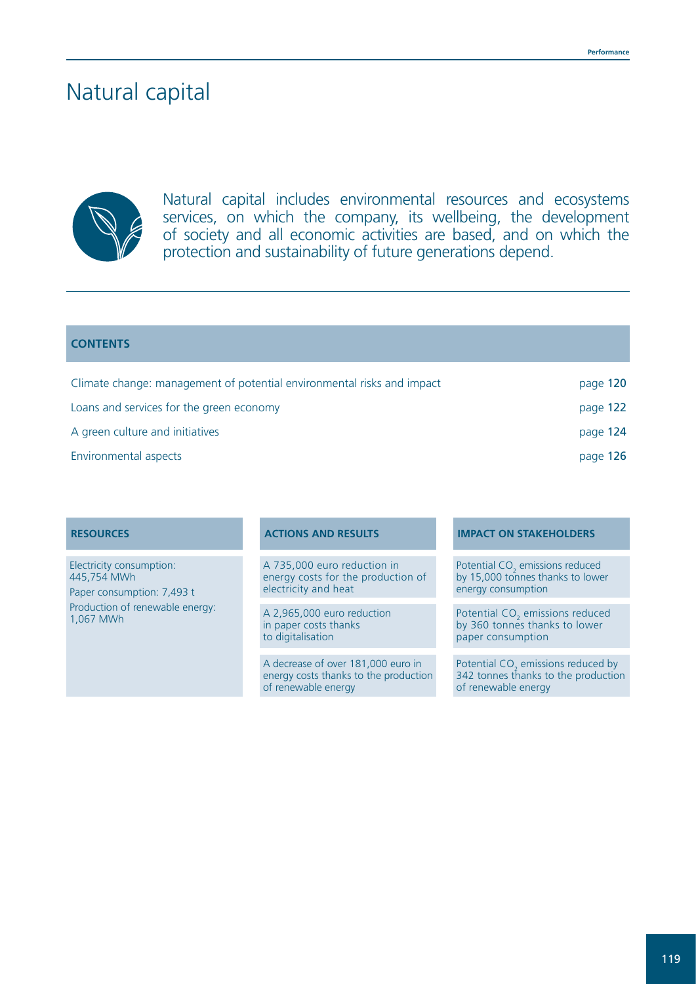# Natural capital



Natural capital includes environmental resources and ecosystems services, on which the company, its wellbeing, the development of society and all economic activities are based, and on which the protection and sustainability of future generations depend.

### **CONTENTS**

| Climate change: management of potential environmental risks and impact | page 120 |
|------------------------------------------------------------------------|----------|
| Loans and services for the green economy                               | page 122 |
| A green culture and initiatives                                        | page 124 |
| Environmental aspects                                                  | page 126 |

Electricity consumption: 445,754 MWh Paper consumption: 7,493 t Production of renewable energy: 1,067 MWh

A 735,000 euro reduction in energy costs for the production of electricity and heat

A 2,965,000 euro reduction in paper costs thanks to digitalisation

A decrease of over 181,000 euro in energy costs thanks to the production of renewable energy

### **RESOURCES ACTIONS AND RESULTS IMPACT ON STAKEHOLDERS**

Potential  $CO<sub>2</sub>$  emissions reduced by 15,000 tonnes thanks to lower energy consumption

Potential CO<sub>2</sub> emissions reduced by 360 tonnes thanks to lower paper consumption

Potential  $CO<sub>2</sub>$  emissions reduced by 342 tonnes thanks to the production of renewable energy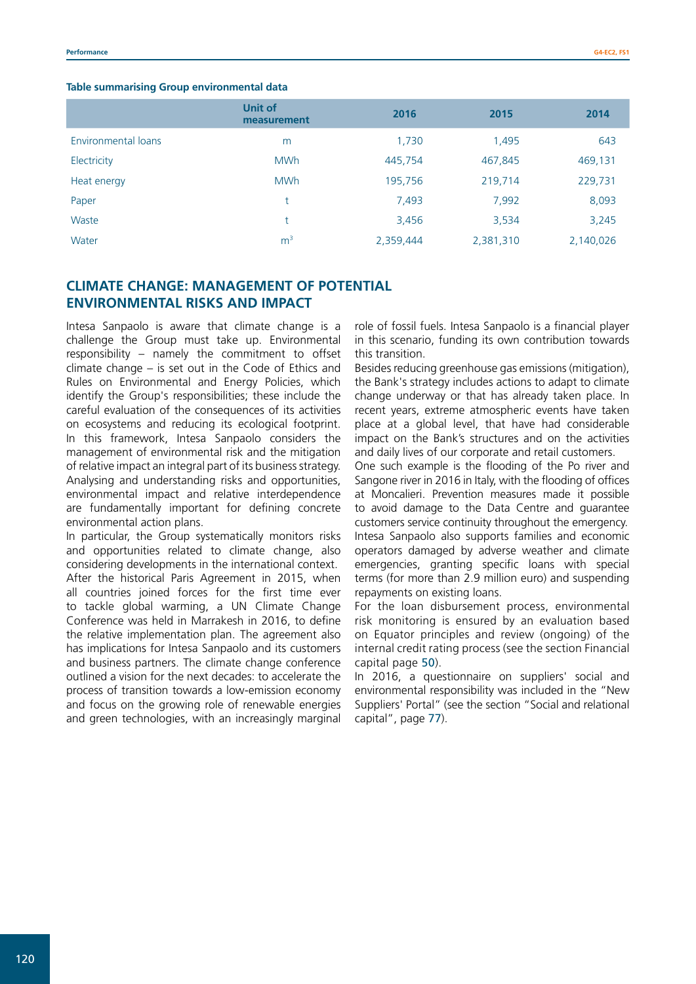|                     | <b>Unit of</b><br>measurement | 2016      | 2015      | 2014      |
|---------------------|-------------------------------|-----------|-----------|-----------|
| Environmental loans | m                             | 1,730     | 1,495     | 643       |
| Electricity         | <b>MWh</b>                    | 445,754   | 467,845   | 469,131   |
| Heat energy         | <b>MWh</b>                    | 195,756   | 219,714   | 229,731   |
| Paper               | t                             | 7,493     | 7,992     | 8,093     |
| Waste               | t                             | 3,456     | 3,534     | 3,245     |
| Water               | m <sup>3</sup>                | 2,359,444 | 2,381,310 | 2,140,026 |

# **CLIMATE CHANGE: MANAGEMENT OF POTENTIAL ENVIRONMENTAL RISKS AND IMPACT**

Intesa Sanpaolo is aware that climate change is a challenge the Group must take up. Environmental responsibility – namely the commitment to offset climate change – is set out in the Code of Ethics and Rules on Environmental and Energy Policies, which identify the Group's responsibilities; these include the careful evaluation of the consequences of its activities on ecosystems and reducing its ecological footprint. In this framework, Intesa Sanpaolo considers the management of environmental risk and the mitigation of relative impact an integral part of its business strategy. Analysing and understanding risks and opportunities, environmental impact and relative interdependence are fundamentally important for defining concrete environmental action plans.

In particular, the Group systematically monitors risks and opportunities related to climate change, also considering developments in the international context. After the historical Paris Agreement in 2015, when all countries joined forces for the first time ever to tackle global warming, a UN Climate Change Conference was held in Marrakesh in 2016, to define the relative implementation plan. The agreement also has implications for Intesa Sanpaolo and its customers and business partners. The climate change conference outlined a vision for the next decades: to accelerate the process of transition towards a low-emission economy and focus on the growing role of renewable energies and green technologies, with an increasingly marginal

role of fossil fuels. Intesa Sanpaolo is a financial player in this scenario, funding its own contribution towards this transition.

Besides reducing greenhouse gas emissions (mitigation), the Bank's strategy includes actions to adapt to climate change underway or that has already taken place. In recent years, extreme atmospheric events have taken place at a global level, that have had considerable impact on the Bank's structures and on the activities and daily lives of our corporate and retail customers.

One such example is the flooding of the Po river and Sangone river in 2016 in Italy, with the flooding of offices at Moncalieri. Prevention measures made it possible to avoid damage to the Data Centre and guarantee customers service continuity throughout the emergency. Intesa Sanpaolo also supports families and economic operators damaged by adverse weather and climate emergencies, granting specific loans with special terms (for more than 2.9 million euro) and suspending repayments on existing loans.

For the loan disbursement process, environmental risk monitoring is ensured by an evaluation based on Equator principles and review (ongoing) of the internal credit rating process (see the section Financial capital page 50).

In 2016, a questionnaire on suppliers' social and environmental responsibility was included in the "New Suppliers' Portal" (see the section "Social and relational capital", page 77).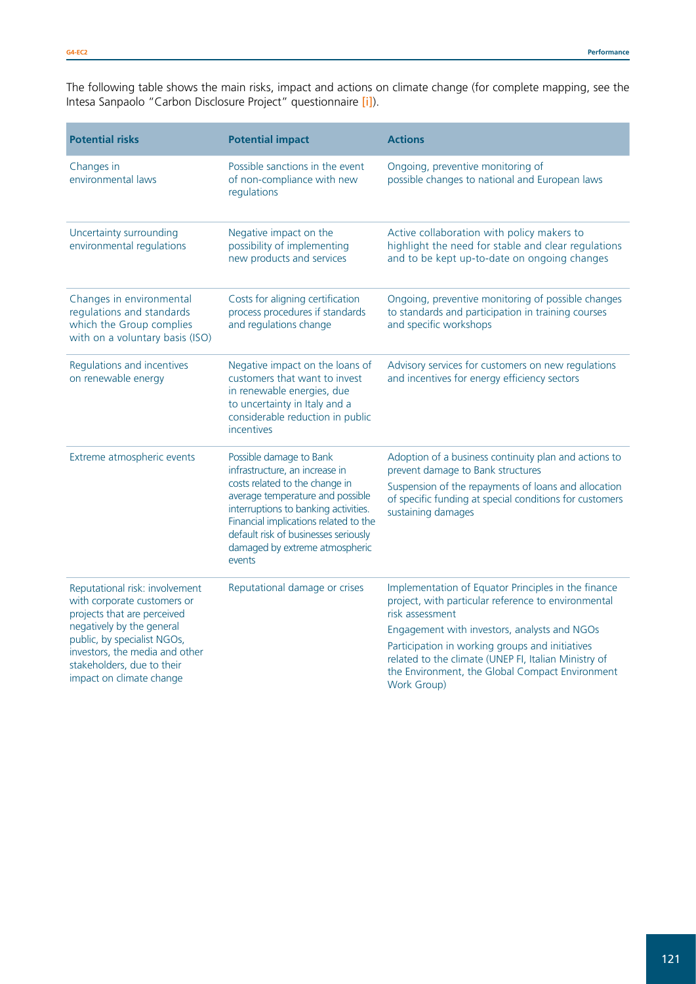The following table shows the main risks, impact and actions on climate change (for complete mapping, see the Intesa Sanpaolo "Carbon Disclosure Project" questionnaire <mark>[\[i\]](http://www.group.intesasanpaolo.com/scriptIsir0/si09/sostenibilita/eng_emissioni.jsp)</mark>).

| <b>Potential risks</b>                                                                                                                                                                                                                               | <b>Potential impact</b>                                                                                                                                                                                                                                                                              | <b>Actions</b>                                                                                                                                                                                                                                                                                                                                             |
|------------------------------------------------------------------------------------------------------------------------------------------------------------------------------------------------------------------------------------------------------|------------------------------------------------------------------------------------------------------------------------------------------------------------------------------------------------------------------------------------------------------------------------------------------------------|------------------------------------------------------------------------------------------------------------------------------------------------------------------------------------------------------------------------------------------------------------------------------------------------------------------------------------------------------------|
| Changes in<br>environmental laws                                                                                                                                                                                                                     | Possible sanctions in the event<br>of non-compliance with new<br>regulations                                                                                                                                                                                                                         | Ongoing, preventive monitoring of<br>possible changes to national and European laws                                                                                                                                                                                                                                                                        |
| Uncertainty surrounding<br>environmental regulations                                                                                                                                                                                                 | Negative impact on the<br>possibility of implementing<br>new products and services                                                                                                                                                                                                                   | Active collaboration with policy makers to<br>highlight the need for stable and clear regulations<br>and to be kept up-to-date on ongoing changes                                                                                                                                                                                                          |
| Changes in environmental<br>regulations and standards<br>which the Group complies<br>with on a voluntary basis (ISO)                                                                                                                                 | Costs for aligning certification<br>process procedures if standards<br>and regulations change                                                                                                                                                                                                        | Ongoing, preventive monitoring of possible changes<br>to standards and participation in training courses<br>and specific workshops                                                                                                                                                                                                                         |
| Regulations and incentives<br>on renewable energy                                                                                                                                                                                                    | Negative impact on the loans of<br>customers that want to invest<br>in renewable energies, due<br>to uncertainty in Italy and a<br>considerable reduction in public<br>incentives                                                                                                                    | Advisory services for customers on new regulations<br>and incentives for energy efficiency sectors                                                                                                                                                                                                                                                         |
| Extreme atmospheric events                                                                                                                                                                                                                           | Possible damage to Bank<br>infrastructure, an increase in<br>costs related to the change in<br>average temperature and possible<br>interruptions to banking activities.<br>Financial implications related to the<br>default risk of businesses seriously<br>damaged by extreme atmospheric<br>events | Adoption of a business continuity plan and actions to<br>prevent damage to Bank structures<br>Suspension of the repayments of loans and allocation<br>of specific funding at special conditions for customers<br>sustaining damages                                                                                                                        |
| Reputational risk: involvement<br>with corporate customers or<br>projects that are perceived<br>negatively by the general<br>public, by specialist NGOs,<br>investors, the media and other<br>stakeholders, due to their<br>impact on climate change | Reputational damage or crises                                                                                                                                                                                                                                                                        | Implementation of Equator Principles in the finance<br>project, with particular reference to environmental<br>risk assessment<br>Engagement with investors, analysts and NGOs<br>Participation in working groups and initiatives<br>related to the climate (UNEP FI, Italian Ministry of<br>the Environment, the Global Compact Environment<br>Work Group) |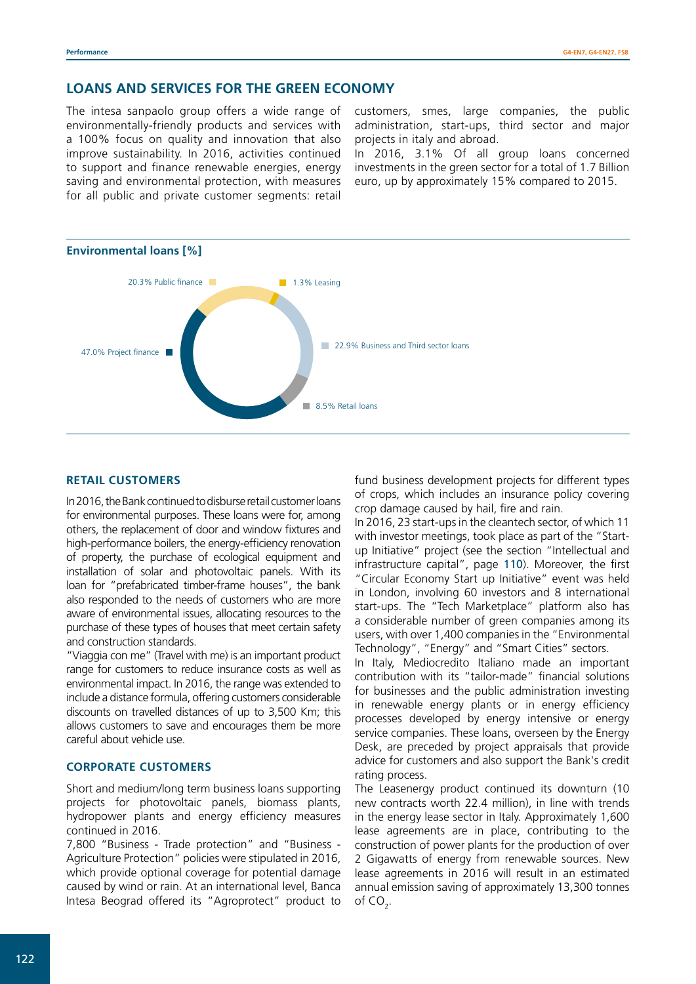# **LOANS AND SERVICES FOR THE GREEN ECONOMY**

The intesa sanpaolo group offers a wide range of environmentally-friendly products and services with a 100% focus on quality and innovation that also improve sustainability. In 2016, activities continued to support and finance renewable energies, energy saving and environmental protection, with measures for all public and private customer segments: retail

customers, smes, large companies, the public administration, start-ups, third sector and major projects in italy and abroad.

In 2016, 3.1% Of all group loans concerned investments in the green sector for a total of 1.7 Billion euro, up by approximately 15% compared to 2015.



# **RETAIL CUSTOMERS**

In 2016, the Bank continued to disburse retail customer loans for environmental purposes. These loans were for, among others, the replacement of door and window fixtures and high-performance boilers, the energy-efficiency renovation of property, the purchase of ecological equipment and installation of solar and photovoltaic panels. With its loan for "prefabricated timber-frame houses", the bank also responded to the needs of customers who are more aware of environmental issues, allocating resources to the purchase of these types of houses that meet certain safety and construction standards.

"Viaggia con me" (Travel with me) is an important product range for customers to reduce insurance costs as well as environmental impact. In 2016, the range was extended to include a distance formula, offering customers considerable discounts on travelled distances of up to 3,500 Km; this allows customers to save and encourages them be more careful about vehicle use.

### **CORPORATE CUSTOMERS**

Short and medium/long term business loans supporting projects for photovoltaic panels, biomass plants, hydropower plants and energy efficiency measures continued in 2016.

7,800 "Business - Trade protection" and "Business - Agriculture Protection" policies were stipulated in 2016, which provide optional coverage for potential damage caused by wind or rain. At an international level, Banca Intesa Beograd offered its "Agroprotect" product to fund business development projects for different types of crops, which includes an insurance policy covering crop damage caused by hail, fire and rain.

In 2016, 23 start-ups in the cleantech sector, of which 11 with investor meetings, took place as part of the "Startup Initiative" project (see the section "Intellectual and infrastructure capital", page 110). Moreover, the first "Circular Economy Start up Initiative" event was held in London, involving 60 investors and 8 international start-ups. The "Tech Marketplace" platform also has a considerable number of green companies among its users, with over 1,400 companies in the "Environmental Technology", "Energy" and "Smart Cities" sectors.

In Italy, Mediocredito Italiano made an important contribution with its "tailor-made" financial solutions for businesses and the public administration investing in renewable energy plants or in energy efficiency processes developed by energy intensive or energy service companies. These loans, overseen by the Energy Desk, are preceded by project appraisals that provide advice for customers and also support the Bank's credit rating process.

The Leasenergy product continued its downturn (10 new contracts worth 22.4 million), in line with trends in the energy lease sector in Italy. Approximately 1,600 lease agreements are in place, contributing to the construction of power plants for the production of over 2 Gigawatts of energy from renewable sources. New lease agreements in 2016 will result in an estimated annual emission saving of approximately 13,300 tonnes of CO<sub>2</sub>.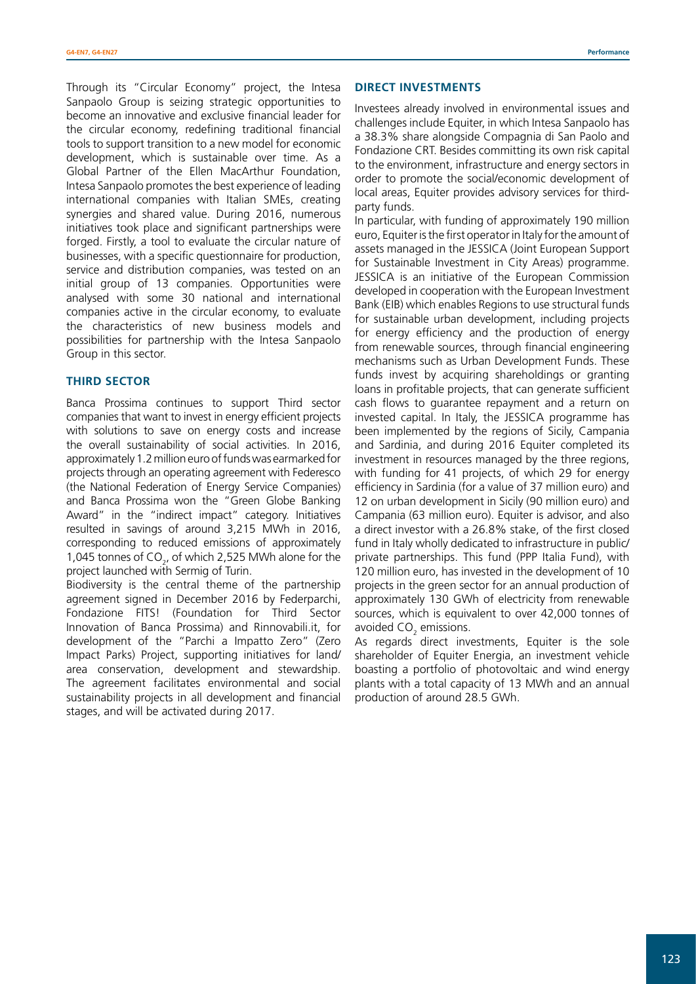Through its "Circular Economy" project, the Intesa Sanpaolo Group is seizing strategic opportunities to become an innovative and exclusive financial leader for the circular economy, redefining traditional financial tools to support transition to a new model for economic development, which is sustainable over time. As a Global Partner of the Ellen MacArthur Foundation, Intesa Sanpaolo promotes the best experience of leading international companies with Italian SMEs, creating synergies and shared value. During 2016, numerous initiatives took place and significant partnerships were forged. Firstly, a tool to evaluate the circular nature of businesses, with a specific questionnaire for production, service and distribution companies, was tested on an initial group of 13 companies. Opportunities were analysed with some 30 national and international companies active in the circular economy, to evaluate the characteristics of new business models and possibilities for partnership with the Intesa Sanpaolo Group in this sector.

#### **THIRD SECTOR**

Banca Prossima continues to support Third sector companies that want to invest in energy efficient projects with solutions to save on energy costs and increase the overall sustainability of social activities. In 2016, approximately 1.2 million euro of funds was earmarked for projects through an operating agreement with Federesco (the National Federation of Energy Service Companies) and Banca Prossima won the "Green Globe Banking Award" in the "indirect impact" category. Initiatives resulted in savings of around 3,215 MWh in 2016, corresponding to reduced emissions of approximately 1,045 tonnes of  $CO<sub>2</sub>$ , of which 2,525 MWh alone for the project launched with Sermig of Turin.

Biodiversity is the central theme of the partnership agreement signed in December 2016 by Federparchi, Fondazione FITS! (Foundation for Third Sector Innovation of Banca Prossima) and Rinnovabili.it, for development of the "Parchi a Impatto Zero" (Zero Impact Parks) Project, supporting initiatives for land/ area conservation, development and stewardship. The agreement facilitates environmental and social sustainability projects in all development and financial stages, and will be activated during 2017.

#### **DIRECT INVESTMENTS**

Investees already involved in environmental issues and challenges include Equiter, in which Intesa Sanpaolo has a 38.3% share alongside Compagnia di San Paolo and Fondazione CRT. Besides committing its own risk capital to the environment, infrastructure and energy sectors in order to promote the social/economic development of local areas, Equiter provides advisory services for thirdparty funds.

In particular, with funding of approximately 190 million euro, Equiter is the first operator in Italy for the amount of assets managed in the JESSICA (Joint European Support for Sustainable Investment in City Areas) programme. JESSICA is an initiative of the European Commission developed in cooperation with the European Investment Bank (EIB) which enables Regions to use structural funds for sustainable urban development, including projects for energy efficiency and the production of energy from renewable sources, through financial engineering mechanisms such as Urban Development Funds. These funds invest by acquiring shareholdings or granting loans in profitable projects, that can generate sufficient cash flows to guarantee repayment and a return on invested capital. In Italy, the JESSICA programme has been implemented by the regions of Sicily, Campania and Sardinia, and during 2016 Equiter completed its investment in resources managed by the three regions, with funding for 41 projects, of which 29 for energy efficiency in Sardinia (for a value of 37 million euro) and 12 on urban development in Sicily (90 million euro) and Campania (63 million euro). Equiter is advisor, and also a direct investor with a 26.8% stake, of the first closed fund in Italy wholly dedicated to infrastructure in public/ private partnerships. This fund (PPP Italia Fund), with 120 million euro, has invested in the development of 10 projects in the green sector for an annual production of approximately 130 GWh of electricity from renewable sources, which is equivalent to over 42,000 tonnes of avoided  $\mathsf{CO}_2$  emissions.

As regards direct investments, Equiter is the sole shareholder of Equiter Energia, an investment vehicle boasting a portfolio of photovoltaic and wind energy plants with a total capacity of 13 MWh and an annual production of around 28.5 GWh.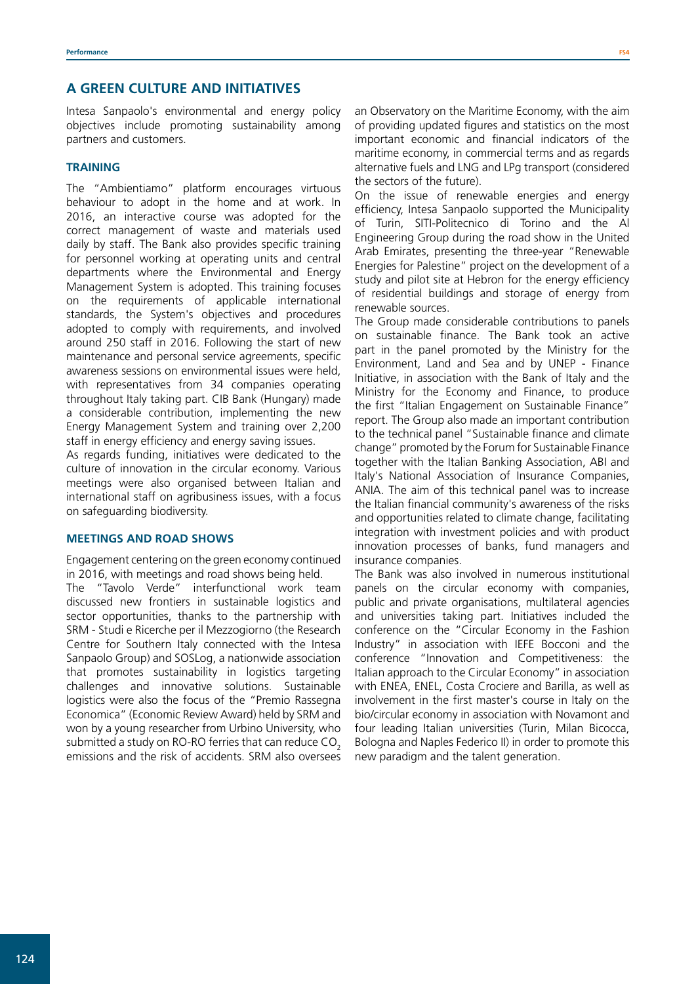# **A GREEN CULTURE AND INITIATIVES**

Intesa Sanpaolo's environmental and energy policy objectives include promoting sustainability among partners and customers.

#### **TRAINING**

The "Ambientiamo" platform encourages virtuous behaviour to adopt in the home and at work. In 2016, an interactive course was adopted for the correct management of waste and materials used daily by staff. The Bank also provides specific training for personnel working at operating units and central departments where the Environmental and Energy Management System is adopted. This training focuses on the requirements of applicable international standards, the System's objectives and procedures adopted to comply with requirements, and involved around 250 staff in 2016. Following the start of new maintenance and personal service agreements, specific awareness sessions on environmental issues were held, with representatives from 34 companies operating throughout Italy taking part. CIB Bank (Hungary) made a considerable contribution, implementing the new Energy Management System and training over 2,200 staff in energy efficiency and energy saving issues.

As regards funding, initiatives were dedicated to the culture of innovation in the circular economy. Various meetings were also organised between Italian and international staff on agribusiness issues, with a focus on safeguarding biodiversity.

#### **MEETINGS AND ROAD SHOWS**

Engagement centering on the green economy continued in 2016, with meetings and road shows being held.

The "Tavolo Verde" interfunctional work team discussed new frontiers in sustainable logistics and sector opportunities, thanks to the partnership with SRM - Studi e Ricerche per il Mezzogiorno (the Research Centre for Southern Italy connected with the Intesa Sanpaolo Group) and SOSLog, a nationwide association that promotes sustainability in logistics targeting challenges and innovative solutions. Sustainable logistics were also the focus of the "Premio Rassegna Economica" (Economic Review Award) held by SRM and won by a young researcher from Urbino University, who submitted a study on RO-RO ferries that can reduce CO<sub>2</sub> emissions and the risk of accidents. SRM also oversees an Observatory on the Maritime Economy, with the aim of providing updated figures and statistics on the most important economic and financial indicators of the maritime economy, in commercial terms and as regards alternative fuels and LNG and LPg transport (considered the sectors of the future).

On the issue of renewable energies and energy efficiency, Intesa Sanpaolo supported the Municipality of Turin, SITI-Politecnico di Torino and the Al Engineering Group during the road show in the United Arab Emirates, presenting the three-year "Renewable Energies for Palestine" project on the development of a study and pilot site at Hebron for the energy efficiency of residential buildings and storage of energy from renewable sources.

The Group made considerable contributions to panels on sustainable finance. The Bank took an active part in the panel promoted by the Ministry for the Environment, Land and Sea and by UNEP - Finance Initiative, in association with the Bank of Italy and the Ministry for the Economy and Finance, to produce the first "Italian Engagement on Sustainable Finance" report. The Group also made an important contribution to the technical panel "Sustainable finance and climate change" promoted by the Forum for Sustainable Finance together with the Italian Banking Association, ABI and Italy's National Association of Insurance Companies, ANIA. The aim of this technical panel was to increase the Italian financial community's awareness of the risks and opportunities related to climate change, facilitating integration with investment policies and with product innovation processes of banks, fund managers and insurance companies.

The Bank was also involved in numerous institutional panels on the circular economy with companies, public and private organisations, multilateral agencies and universities taking part. Initiatives included the conference on the "Circular Economy in the Fashion Industry" in association with IEFE Bocconi and the conference "Innovation and Competitiveness: the Italian approach to the Circular Economy" in association with ENEA, ENEL, Costa Crociere and Barilla, as well as involvement in the first master's course in Italy on the bio/circular economy in association with Novamont and four leading Italian universities (Turin, Milan Bicocca, Bologna and Naples Federico II) in order to promote this new paradigm and the talent generation.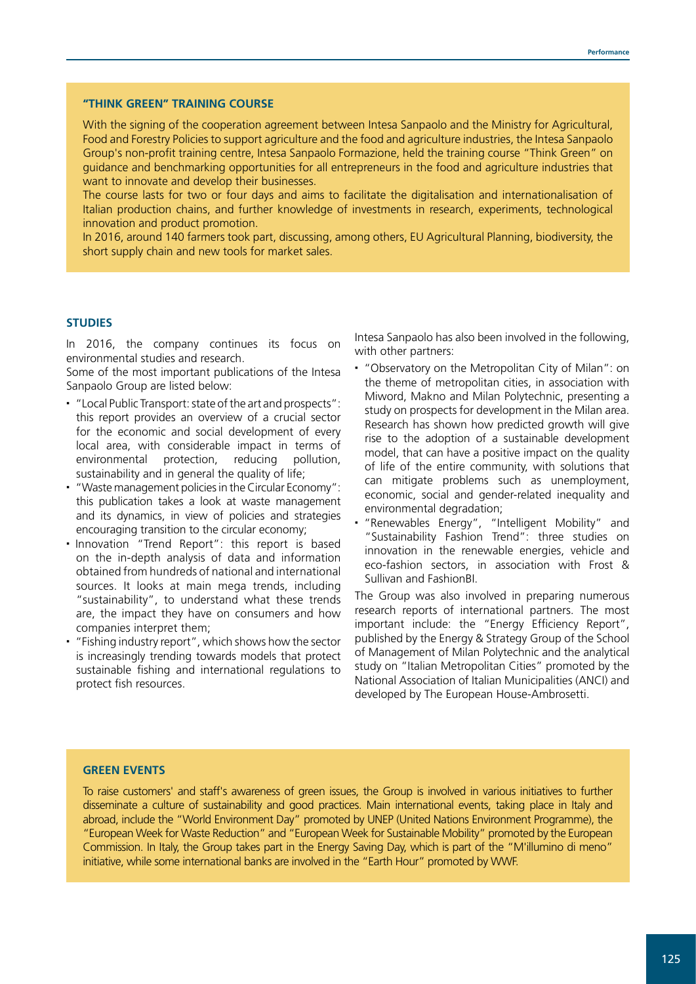#### **"THINK GREEN" TRAINING COURSE**

With the signing of the cooperation agreement between Intesa Sanpaolo and the Ministry for Agricultural, Food and Forestry Policies to support agriculture and the food and agriculture industries, the Intesa Sanpaolo Group's non-profit training centre, Intesa Sanpaolo Formazione, held the training course "Think Green" on guidance and benchmarking opportunities for all entrepreneurs in the food and agriculture industries that want to innovate and develop their businesses.

The course lasts for two or four days and aims to facilitate the digitalisation and internationalisation of Italian production chains, and further knowledge of investments in research, experiments, technological innovation and product promotion.

In 2016, around 140 farmers took part, discussing, among others, EU Agricultural Planning, biodiversity, the short supply chain and new tools for market sales.

#### **STUDIES**

In 2016, the company continues its focus on environmental studies and research.

Some of the most important publications of the Intesa Sanpaolo Group are listed below:

- "Local Public Transport: state of the art and prospects": this report provides an overview of a crucial sector for the economic and social development of every local area, with considerable impact in terms of environmental protection, reducing pollution, sustainability and in general the quality of life;
- "Waste management policies in the Circular Economy": this publication takes a look at waste management and its dynamics, in view of policies and strategies encouraging transition to the circular economy;
- Innovation "Trend Report": this report is based on the in-depth analysis of data and information obtained from hundreds of national and international sources. It looks at main mega trends, including "sustainability", to understand what these trends are, the impact they have on consumers and how companies interpret them;
- "Fishing industry report", which shows how the sector is increasingly trending towards models that protect sustainable fishing and international regulations to protect fish resources.

Intesa Sanpaolo has also been involved in the following, with other partners:

- "Observatory on the Metropolitan City of Milan": on the theme of metropolitan cities, in association with Miword, Makno and Milan Polytechnic, presenting a study on prospects for development in the Milan area. Research has shown how predicted growth will give rise to the adoption of a sustainable development model, that can have a positive impact on the quality of life of the entire community, with solutions that can mitigate problems such as unemployment, economic, social and gender-related inequality and environmental degradation;
- "Renewables Energy", "Intelligent Mobility" and "Sustainability Fashion Trend": three studies on innovation in the renewable energies, vehicle and eco-fashion sectors, in association with Frost & Sullivan and FashionBI.

The Group was also involved in preparing numerous research reports of international partners. The most important include: the "Energy Efficiency Report", published by the Energy & Strategy Group of the School of Management of Milan Polytechnic and the analytical study on "Italian Metropolitan Cities" promoted by the National Association of Italian Municipalities (ANCI) and developed by The European House-Ambrosetti.

#### **GREEN EVENTS**

To raise customers' and staff's awareness of green issues, the Group is involved in various initiatives to further disseminate a culture of sustainability and good practices. Main international events, taking place in Italy and abroad, include the "World Environment Day" promoted by UNEP (United Nations Environment Programme), the "European Week for Waste Reduction" and "European Week for Sustainable Mobility" promoted by the European Commission. In Italy, the Group takes part in the Energy Saving Day, which is part of the "M'illumino di meno" initiative, while some international banks are involved in the "Earth Hour" promoted by WWF.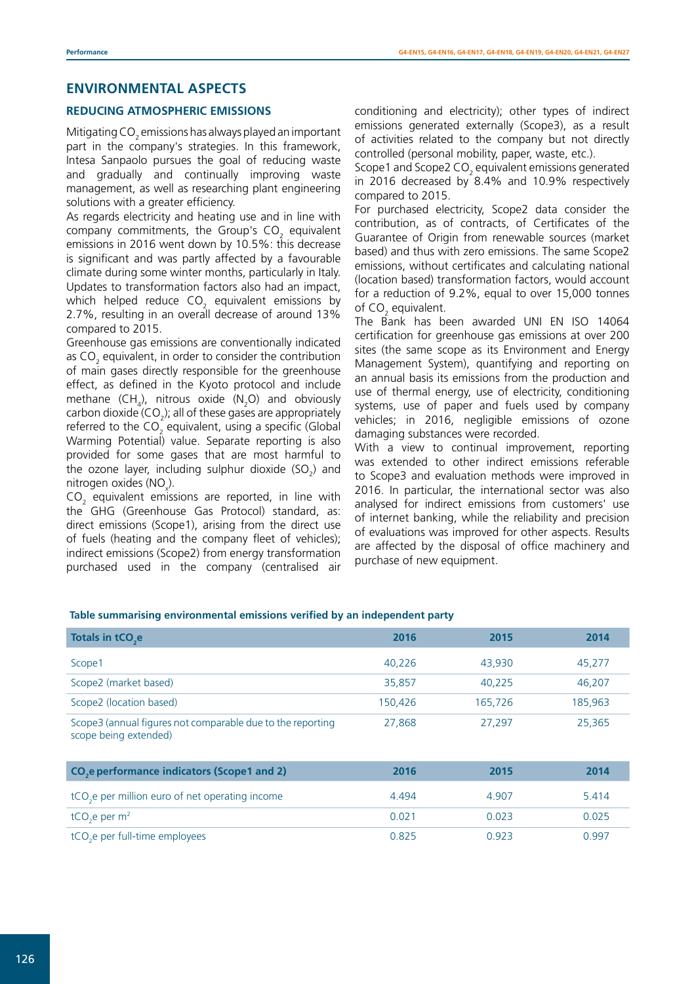# **ENVIRONMENTAL ASPECTS**

#### **REDUCING ATMOSPHERIC EMISSIONS**

Mitigating CO $_{\rm 2}$  emissions has always played an important part in the company's strategies. In this framework, Intesa Sanpaolo pursues the goal of reducing waste and gradually and continually improving waste management, as well as researching plant engineering solutions with a greater efficiency.

As regards electricity and heating use and in line with company commitments, the Group's CO<sub>2</sub> equivalent emissions in 2016 went down by 10.5%: this decrease is significant and was partly affected by a favourable climate during some winter months, particularly in Italy. Updates to transformation factors also had an impact, which helped reduce CO<sub>2</sub> equivalent emissions by 2.7%, resulting in an overall decrease of around 13% compared to 2015.

Greenhouse gas emissions are conventionally indicated as CO<sub>2</sub> equivalent, in order to consider the contribution of main gases directly responsible for the greenhouse effect, as defined in the Kyoto protocol and include methane  $(\text{CH}_4)$ , nitrous oxide  $(\text{N}_2\text{O})$  and obviously carbon dioxide (CO<sub>2</sub>); all of these gases are appropriately referred to the CO<sub>2</sub> equivalent, using a specific (Global Warming Potential) value. Separate reporting is also provided for some gases that are most harmful to the ozone layer, including sulphur dioxide  $\text{(SO}_2)$  and nitrogen oxides (NO<sub>x</sub>).

 $CO<sub>2</sub>$  equivalent emissions are reported, in line with the GHG (Greenhouse Gas Protocol) standard, as: direct emissions (Scope1), arising from the direct use of fuels (heating and the company fleet of vehicles); indirect emissions (Scope2) from energy transformation purchased used in the company (centralised air

conditioning and electricity); other types of indirect emissions generated externally (Scope3), as a result of activities related to the company but not directly controlled (personal mobility, paper, waste, etc.).

Scope1 and Scope2 CO<sub>2</sub> equivalent emissions generated in 2016 decreased by 8.4% and 10.9% respectively compared to 2015.

For purchased electricity, Scope2 data consider the contribution, as of contracts, of Certificates of the Guarantee of Origin from renewable sources (market based) and thus with zero emissions. The same Scope2 emissions, without certificates and calculating national (location based) transformation factors, would account for a reduction of 9.2%, equal to over 15,000 tonnes of  $CO<sub>2</sub>$  equivalent.

The Bank has been awarded UNI EN ISO 14064 certification for greenhouse gas emissions at over 200 sites (the same scope as its Environment and Energy Management System), quantifying and reporting on an annual basis its emissions from the production and use of thermal energy, use of electricity, conditioning systems, use of paper and fuels used by company vehicles; in 2016, negligible emissions of ozone damaging substances were recorded.

With a view to continual improvement, reporting was extended to other indirect emissions referable to Scope3 and evaluation methods were improved in 2016. In particular, the international sector was also analysed for indirect emissions from customers' use of internet banking, while the reliability and precision of evaluations was improved for other aspects. Results are affected by the disposal of office machinery and purchase of new equipment.

#### **Table summarising environmental emissions verified by an independent party**

| Totals in tCO <sub>2</sub> e                                                        | 2016    | 2015    | 2014    |
|-------------------------------------------------------------------------------------|---------|---------|---------|
| Scope1                                                                              | 40.226  | 43.930  | 45,277  |
| Scope2 (market based)                                                               | 35,857  | 40,225  | 46,207  |
| Scope2 (location based)                                                             | 150,426 | 165,726 | 185,963 |
| Scope3 (annual figures not comparable due to the reporting<br>scope being extended) | 27,868  | 27,297  | 25,365  |
| CO <sub>2</sub> e performance indicators (Scope1 and 2)                             | 2016    | 2015    | 2014    |
| tCO <sub>2</sub> e per million euro of net operating income                         | 4.494   | 4.907   | 5.414   |
| tCO <sub>2</sub> e per $m2$                                                         | 0.021   | 0.023   | 0.025   |
| tCO <sub>2</sub> e per full-time employees                                          | 0.825   | 0.923   | 0.997   |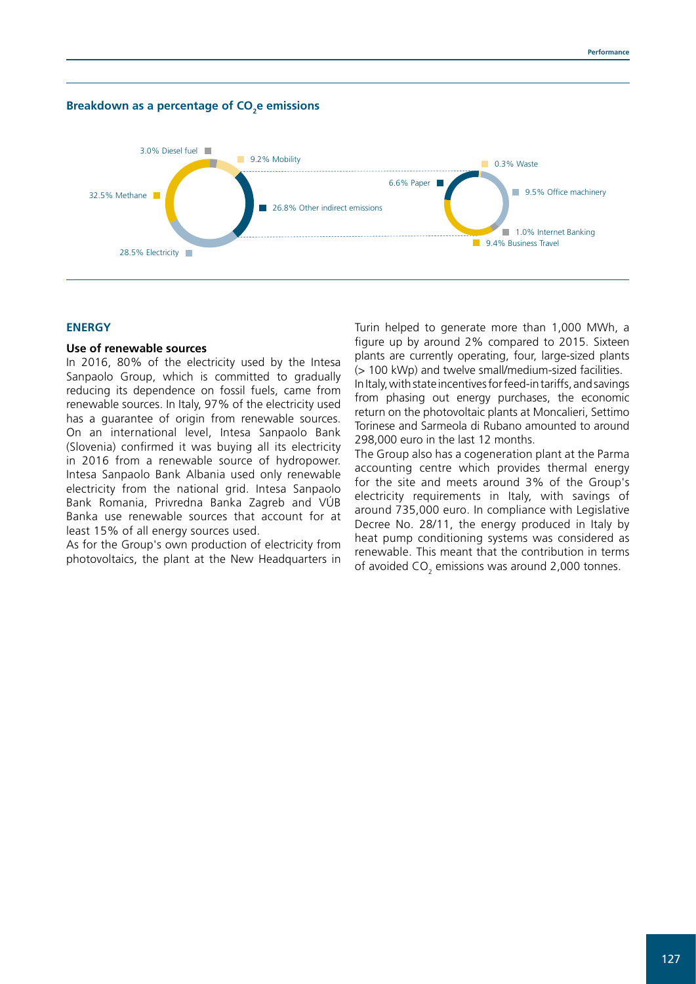



#### **ENERGY**

### **Use of renewable sources**

In 2016, 80% of the electricity used by the Intesa Sanpaolo Group, which is committed to gradually reducing its dependence on fossil fuels, came from renewable sources. In Italy, 97% of the electricity used has a guarantee of origin from renewable sources. On an international level, Intesa Sanpaolo Bank (Slovenia) confirmed it was buying all its electricity in 2016 from a renewable source of hydropower. Intesa Sanpaolo Bank Albania used only renewable electricity from the national grid. Intesa Sanpaolo Bank Romania, Privredna Banka Zagreb and VÚB Banka use renewable sources that account for at least 15% of all energy sources used.

As for the Group's own production of electricity from photovoltaics, the plant at the New Headquarters in Turin helped to generate more than 1,000 MWh, a figure up by around 2% compared to 2015. Sixteen plants are currently operating, four, large-sized plants (> 100 kWp) and twelve small/medium-sized facilities.

In Italy, with state incentives for feed-in tariffs, and savings from phasing out energy purchases, the economic return on the photovoltaic plants at Moncalieri, Settimo Torinese and Sarmeola di Rubano amounted to around 298,000 euro in the last 12 months.

The Group also has a cogeneration plant at the Parma accounting centre which provides thermal energy for the site and meets around 3% of the Group's electricity requirements in Italy, with savings of around 735,000 euro. In compliance with Legislative Decree No. 28/11, the energy produced in Italy by heat pump conditioning systems was considered as renewable. This meant that the contribution in terms of avoided CO<sub>2</sub> emissions was around 2,000 tonnes.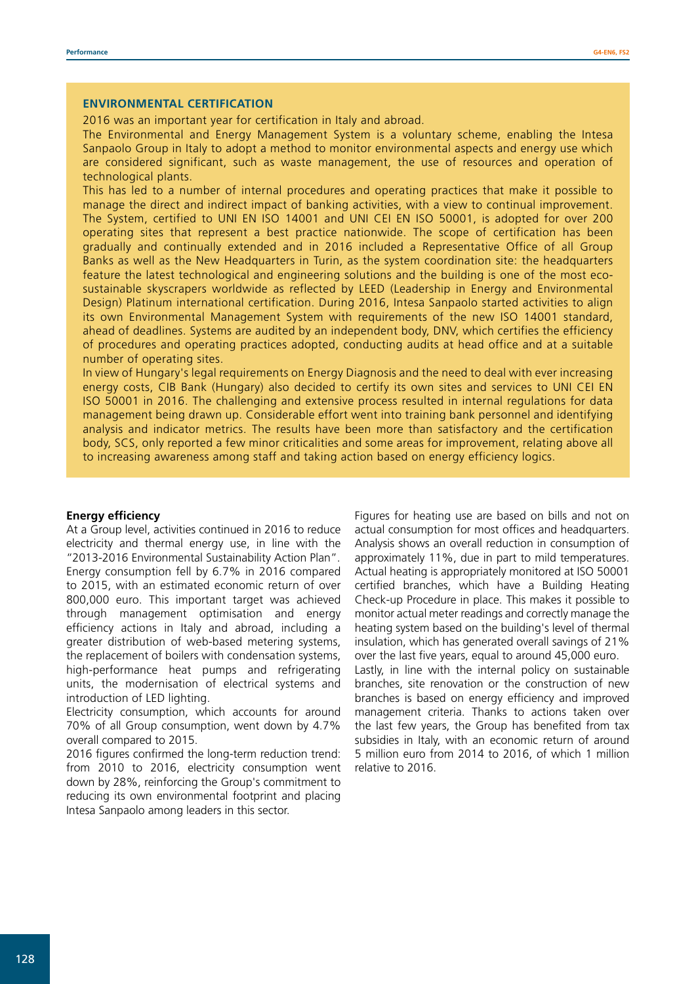#### **ENVIRONMENTAL CERTIFICATION**

2016 was an important year for certification in Italy and abroad.

The Environmental and Energy Management System is a voluntary scheme, enabling the Intesa Sanpaolo Group in Italy to adopt a method to monitor environmental aspects and energy use which are considered significant, such as waste management, the use of resources and operation of technological plants.

This has led to a number of internal procedures and operating practices that make it possible to manage the direct and indirect impact of banking activities, with a view to continual improvement. The System, certified to UNI EN ISO 14001 and UNI CEI EN ISO 50001, is adopted for over 200 operating sites that represent a best practice nationwide. The scope of certification has been gradually and continually extended and in 2016 included a Representative Office of all Group Banks as well as the New Headquarters in Turin, as the system coordination site: the headquarters feature the latest technological and engineering solutions and the building is one of the most ecosustainable skyscrapers worldwide as reflected by LEED (Leadership in Energy and Environmental Design) Platinum international certification. During 2016, Intesa Sanpaolo started activities to align its own Environmental Management System with requirements of the new ISO 14001 standard, ahead of deadlines. Systems are audited by an independent body, DNV, which certifies the efficiency of procedures and operating practices adopted, conducting audits at head office and at a suitable number of operating sites.

In view of Hungary's legal requirements on Energy Diagnosis and the need to deal with ever increasing energy costs, CIB Bank (Hungary) also decided to certify its own sites and services to UNI CEI EN ISO 50001 in 2016. The challenging and extensive process resulted in internal regulations for data management being drawn up. Considerable effort went into training bank personnel and identifying analysis and indicator metrics. The results have been more than satisfactory and the certification body, SCS, only reported a few minor criticalities and some areas for improvement, relating above all to increasing awareness among staff and taking action based on energy efficiency logics.

#### **Energy efficiency**

At a Group level, activities continued in 2016 to reduce electricity and thermal energy use, in line with the "2013-2016 Environmental Sustainability Action Plan". Energy consumption fell by 6.7% in 2016 compared to 2015, with an estimated economic return of over 800,000 euro. This important target was achieved through management optimisation and energy efficiency actions in Italy and abroad, including a greater distribution of web-based metering systems, the replacement of boilers with condensation systems, high-performance heat pumps and refrigerating units, the modernisation of electrical systems and introduction of LED lighting.

Electricity consumption, which accounts for around 70% of all Group consumption, went down by 4.7% overall compared to 2015.

2016 figures confirmed the long-term reduction trend: from 2010 to 2016, electricity consumption went down by 28%, reinforcing the Group's commitment to reducing its own environmental footprint and placing Intesa Sanpaolo among leaders in this sector.

Figures for heating use are based on bills and not on actual consumption for most offices and headquarters. Analysis shows an overall reduction in consumption of approximately 11%, due in part to mild temperatures. Actual heating is appropriately monitored at ISO 50001 certified branches, which have a Building Heating Check-up Procedure in place. This makes it possible to monitor actual meter readings and correctly manage the heating system based on the building's level of thermal insulation, which has generated overall savings of 21% over the last five years, equal to around 45,000 euro. Lastly, in line with the internal policy on sustainable branches, site renovation or the construction of new branches is based on energy efficiency and improved management criteria. Thanks to actions taken over the last few years, the Group has benefited from tax subsidies in Italy, with an economic return of around 5 million euro from 2014 to 2016, of which 1 million relative to 2016.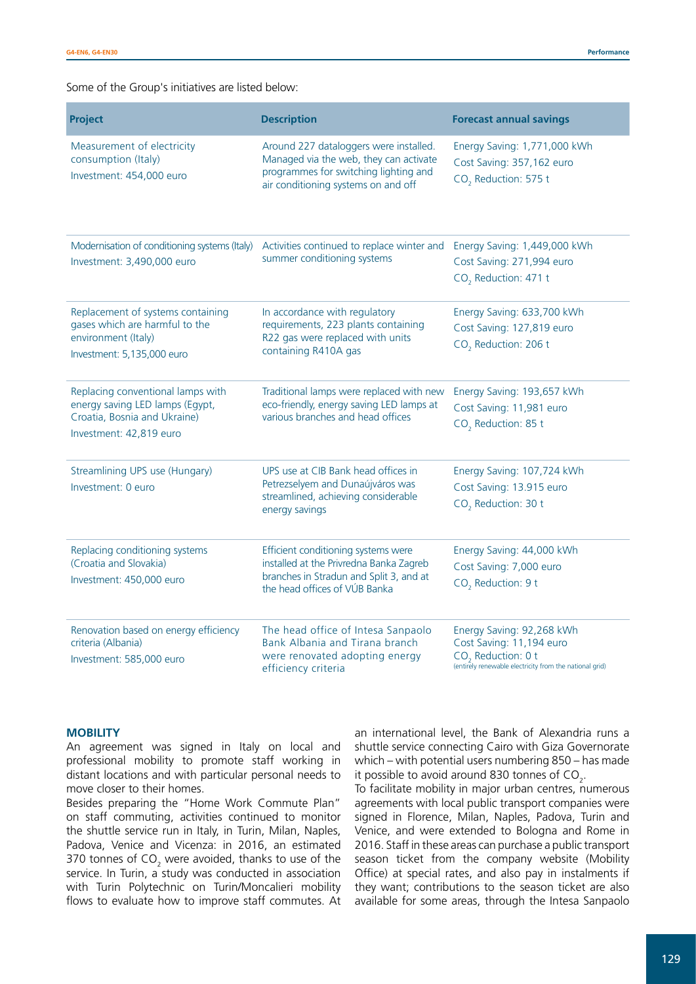Some of the Group's initiatives are listed below:

| <b>Project</b>                                                                                                                  | <b>Description</b>                                                                                                                                               | <b>Forecast annual savings</b>                                                                                                                     |
|---------------------------------------------------------------------------------------------------------------------------------|------------------------------------------------------------------------------------------------------------------------------------------------------------------|----------------------------------------------------------------------------------------------------------------------------------------------------|
| Measurement of electricity<br>consumption (Italy)<br>Investment: 454,000 euro                                                   | Around 227 dataloggers were installed.<br>Managed via the web, they can activate<br>programmes for switching lighting and<br>air conditioning systems on and off | Energy Saving: 1,771,000 kWh<br>Cost Saving: 357,162 euro<br>CO <sub>2</sub> Reduction: 575 t                                                      |
| Modernisation of conditioning systems (Italy)<br>Investment: 3,490,000 euro                                                     | Activities continued to replace winter and<br>summer conditioning systems                                                                                        | Energy Saving: 1,449,000 kWh<br>Cost Saving: 271,994 euro<br>CO <sub>2</sub> Reduction: 471 t                                                      |
| Replacement of systems containing<br>gases which are harmful to the<br>environment (Italy)<br>Investment: 5,135,000 euro        | In accordance with regulatory<br>requirements, 223 plants containing<br>R22 gas were replaced with units<br>containing R410A gas                                 | Energy Saving: 633,700 kWh<br>Cost Saving: 127,819 euro<br>CO <sub>2</sub> Reduction: 206 t                                                        |
| Replacing conventional lamps with<br>energy saving LED lamps (Egypt,<br>Croatia, Bosnia and Ukraine)<br>Investment: 42,819 euro | Traditional lamps were replaced with new<br>eco-friendly, energy saving LED lamps at<br>various branches and head offices                                        | Energy Saving: 193,657 kWh<br>Cost Saving: 11,981 euro<br>CO <sub>2</sub> Reduction: 85 t                                                          |
| Streamlining UPS use (Hungary)<br>Investment: 0 euro                                                                            | UPS use at CIB Bank head offices in<br>Petrezselyem and Dunaújváros was<br>streamlined, achieving considerable<br>energy savings                                 | Energy Saving: 107,724 kWh<br>Cost Saving: 13.915 euro<br>CO <sub>2</sub> Reduction: 30 t                                                          |
| Replacing conditioning systems<br>(Croatia and Slovakia)<br>Investment: 450,000 euro                                            | Efficient conditioning systems were<br>installed at the Privredna Banka Zagreb<br>branches in Stradun and Split 3, and at<br>the head offices of VÚB Banka       | Energy Saving: 44,000 kWh<br>Cost Saving: 7,000 euro<br>CO <sub>2</sub> Reduction: 9 t                                                             |
| Renovation based on energy efficiency<br>criteria (Albania)<br>Investment: 585,000 euro                                         | The head office of Intesa Sanpaolo<br>Bank Albania and Tirana branch<br>were renovated adopting energy<br>efficiency criteria                                    | Energy Saving: 92,268 kWh<br>Cost Saving: 11,194 euro<br>CO <sub>2</sub> Reduction: 0 t<br>(entirely renewable electricity from the national grid) |

#### **MOBILITY**

An agreement was signed in Italy on local and professional mobility to promote staff working in distant locations and with particular personal needs to move closer to their homes.

Besides preparing the "Home Work Commute Plan" on staff commuting, activities continued to monitor the shuttle service run in Italy, in Turin, Milan, Naples, Padova, Venice and Vicenza: in 2016, an estimated 370 tonnes of CO<sub>2</sub> were avoided, thanks to use of the service. In Turin, a study was conducted in association with Turin Polytechnic on Turin/Moncalieri mobility flows to evaluate how to improve staff commutes. At

an international level, the Bank of Alexandria runs a shuttle service connecting Cairo with Giza Governorate which – with potential users numbering 850 – has made it possible to avoid around 830 tonnes of CO<sub>2</sub>.

To facilitate mobility in major urban centres, numerous agreements with local public transport companies were signed in Florence, Milan, Naples, Padova, Turin and Venice, and were extended to Bologna and Rome in 2016. Staff in these areas can purchase a public transport season ticket from the company website (Mobility Office) at special rates, and also pay in instalments if they want; contributions to the season ticket are also available for some areas, through the Intesa Sanpaolo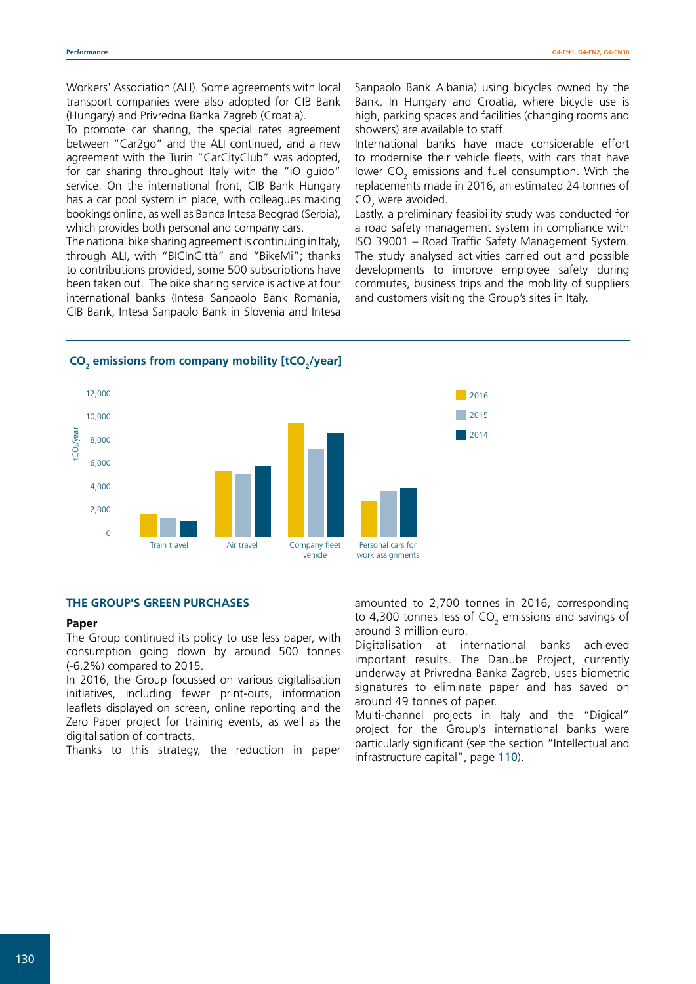Workers' Association (ALI). Some agreements with local transport companies were also adopted for CIB Bank (Hungary) and Privredna Banka Zagreb (Croatia).

To promote car sharing, the special rates agreement between "Car2go" and the ALI continued, and a new agreement with the Turin "CarCityClub" was adopted, for car sharing throughout Italy with the "iO guido" service. On the international front, CIB Bank Hungary has a car pool system in place, with colleagues making bookings online, as well as Banca Intesa Beograd (Serbia), which provides both personal and company cars.

The national bike sharing agreement is continuing in Italy, through ALI, with "BICInCittà" and "BikeMi"; thanks to contributions provided, some 500 subscriptions have been taken out. The bike sharing service is active at four international banks (Intesa Sanpaolo Bank Romania, CIB Bank, Intesa Sanpaolo Bank in Slovenia and Intesa

Sanpaolo Bank Albania) using bicycles owned by the Bank. In Hungary and Croatia, where bicycle use is high, parking spaces and facilities (changing rooms and showers) are available to staff.

International banks have made considerable effort to modernise their vehicle fleets, with cars that have lower  $CO<sub>2</sub>$  emissions and fuel consumption. With the replacements made in 2016, an estimated 24 tonnes of  $CO<sub>2</sub>$  were avoided.

Lastly, a preliminary feasibility study was conducted for a road safety management system in compliance with ISO 39001 – Road Traffic Safety Management System. The study analysed activities carried out and possible developments to improve employee safety during commutes, business trips and the mobility of suppliers and customers visiting the Group's sites in Italy.

> 2016 2015

# **CO**<sub>2</sub> emissions from company mobility [tCO<sub>2</sub>/year]



### **THE GROUP'S GREEN PURCHASES**

#### **Paper**

The Group continued its policy to use less paper, with consumption going down by around 500 tonnes (-6.2%) compared to 2015.

In 2016, the Group focussed on various digitalisation initiatives, including fewer print-outs, information leaflets displayed on screen, online reporting and the Zero Paper project for training events, as well as the digitalisation of contracts.

Thanks to this strategy, the reduction in paper

amounted to 2,700 tonnes in 2016, corresponding to 4,300 tonnes less of CO<sub>2</sub> emissions and savings of around 3 million euro.

Digitalisation at international banks achieved important results. The Danube Project, currently underway at Privredna Banka Zagreb, uses biometric signatures to eliminate paper and has saved on around 49 tonnes of paper.

Multi-channel projects in Italy and the "Digical" project for the Group's international banks were particularly significant (see the section "Intellectual and infrastructure capital", page 110).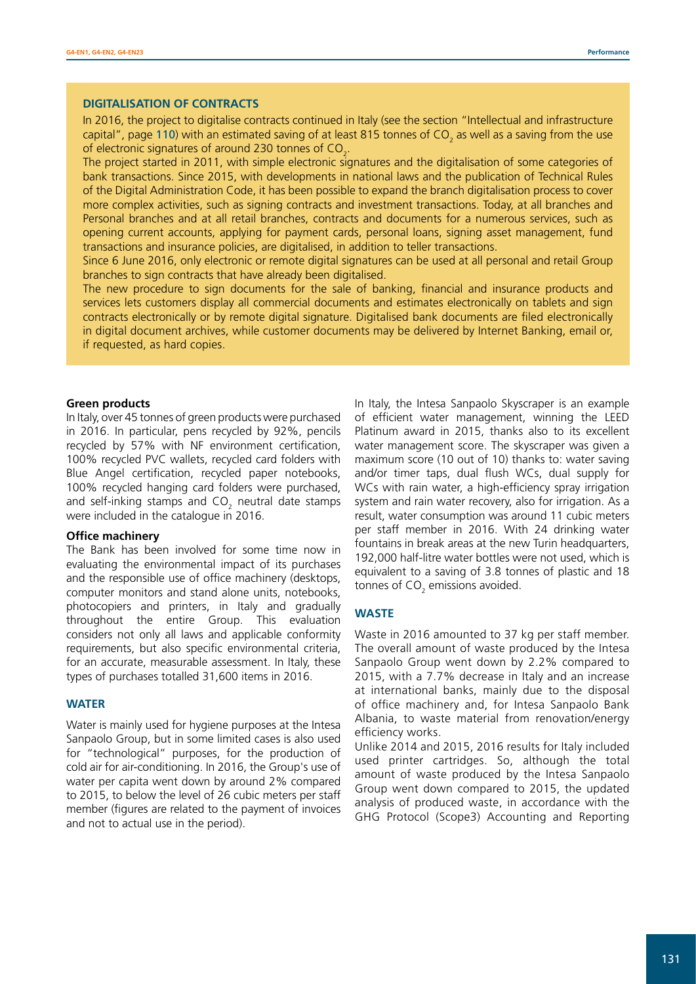#### **DIGITALISATION OF CONTRACTS**

In 2016, the project to digitalise contracts continued in Italy (see the section "Intellectual and infrastructure capital", page 110) with an estimated saving of at least 815 tonnes of CO<sub>2</sub> as well as a saving from the use of electronic signatures of around 230 tonnes of CO<sub>2</sub>.

The project started in 2011, with simple electronic signatures and the digitalisation of some categories of bank transactions. Since 2015, with developments in national laws and the publication of Technical Rules of the Digital Administration Code, it has been possible to expand the branch digitalisation process to cover more complex activities, such as signing contracts and investment transactions. Today, at all branches and Personal branches and at all retail branches, contracts and documents for a numerous services, such as opening current accounts, applying for payment cards, personal loans, signing asset management, fund transactions and insurance policies, are digitalised, in addition to teller transactions.

Since 6 June 2016, only electronic or remote digital signatures can be used at all personal and retail Group branches to sign contracts that have already been digitalised.

The new procedure to sign documents for the sale of banking, financial and insurance products and services lets customers display all commercial documents and estimates electronically on tablets and sign contracts electronically or by remote digital signature. Digitalised bank documents are filed electronically in digital document archives, while customer documents may be delivered by Internet Banking, email or, if requested, as hard copies.

#### **Green products**

In Italy, over 45 tonnes of green products were purchased in 2016. In particular, pens recycled by 92%, pencils recycled by 57% with NF environment certification, 100% recycled PVC wallets, recycled card folders with Blue Angel certification, recycled paper notebooks, 100% recycled hanging card folders were purchased, and self-inking stamps and CO<sub>2</sub> neutral date stamps were included in the catalogue in 2016.

#### **Office machinery**

The Bank has been involved for some time now in evaluating the environmental impact of its purchases and the responsible use of office machinery (desktops, computer monitors and stand alone units, notebooks, photocopiers and printers, in Italy and gradually throughout the entire Group. This evaluation considers not only all laws and applicable conformity requirements, but also specific environmental criteria, for an accurate, measurable assessment. In Italy, these types of purchases totalled 31,600 items in 2016.

#### **WATER**

Water is mainly used for hygiene purposes at the Intesa Sanpaolo Group, but in some limited cases is also used for "technological" purposes, for the production of cold air for air-conditioning. In 2016, the Group's use of water per capita went down by around 2% compared to 2015, to below the level of 26 cubic meters per staff member (figures are related to the payment of invoices and not to actual use in the period).

In Italy, the Intesa Sanpaolo Skyscraper is an example of efficient water management, winning the LEED Platinum award in 2015, thanks also to its excellent water management score. The skyscraper was given a maximum score (10 out of 10) thanks to: water saving and/or timer taps, dual flush WCs, dual supply for WCs with rain water, a high-efficiency spray irrigation system and rain water recovery, also for irrigation. As a result, water consumption was around 11 cubic meters per staff member in 2016. With 24 drinking water fountains in break areas at the new Turin headquarters, 192,000 half-litre water bottles were not used, which is equivalent to a saving of 3.8 tonnes of plastic and 18 tonnes of CO $_{\rm 2}$  emissions avoided.

#### **WASTE**

Waste in 2016 amounted to 37 kg per staff member. The overall amount of waste produced by the Intesa Sanpaolo Group went down by 2.2% compared to 2015, with a 7.7% decrease in Italy and an increase at international banks, mainly due to the disposal of office machinery and, for Intesa Sanpaolo Bank Albania, to waste material from renovation/energy efficiency works.

Unlike 2014 and 2015, 2016 results for Italy included used printer cartridges. So, although the total amount of waste produced by the Intesa Sanpaolo Group went down compared to 2015, the updated analysis of produced waste, in accordance with the GHG Protocol (Scope3) Accounting and Reporting